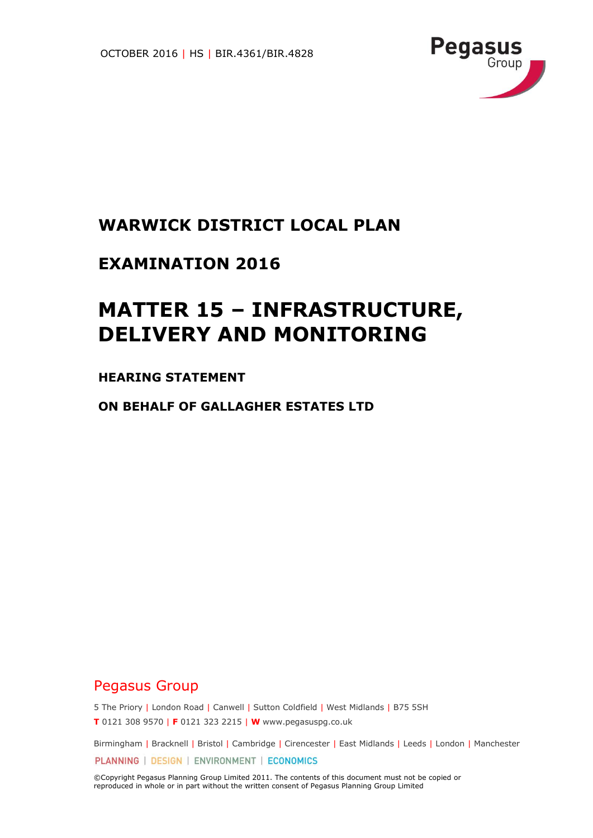

## **WARWICK DISTRICT LOCAL PLAN**

## **EXAMINATION 2016**

# **MATTER 15 – INFRASTRUCTURE, DELIVERY AND MONITORING**

### **HEARING STATEMENT**

**ON BEHALF OF GALLAGHER ESTATES LTD**

## Pegasus Group

5 The Priory | London Road | Canwell | Sutton Coldfield | West Midlands | B75 5SH **T** 0121 308 9570 | **F** 0121 323 2215 | **W** www.pegasuspg.co.uk

Birmingham | Bracknell | Bristol | Cambridge | Cirencester | East Midlands | Leeds | London | Manchester PLANNING | DESIGN | ENVIRONMENT | ECONOMICS

©Copyright Pegasus Planning Group Limited 2011. The contents of this document must not be copied or reproduced in whole or in part without the written consent of Pegasus Planning Group Limited